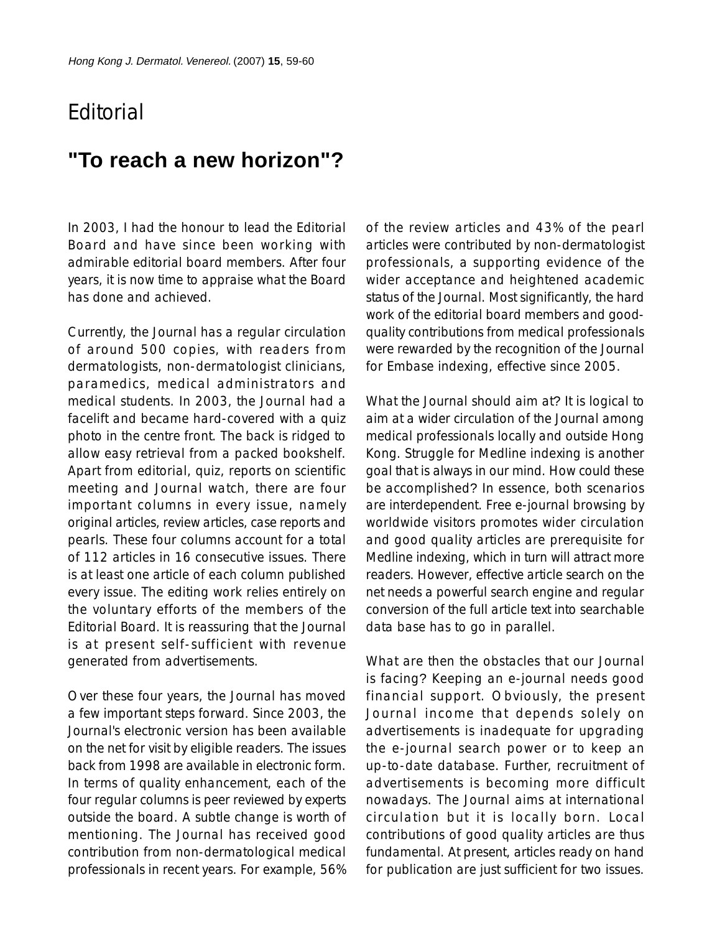## **F**ditorial

## **"To reach a new horizon"?**

In 2003, I had the honour to lead the Editorial Board and have since been working with admirable editorial board members. After four years, it is now time to appraise what the Board has done and achieved.

Currently, the Journal has a regular circulation of around 500 copies, with readers from dermatologists, non-dermatologist clinicians, paramedics, medical administrators and medical students. In 2003, the Journal had a facelift and became hard-covered with a quiz photo in the centre front. The back is ridged to allow easy retrieval from a packed bookshelf. Apart from editorial, quiz, reports on scientific meeting and Journal watch, there are four important columns in every issue, namely original articles, review articles, case reports and pearls. These four columns account for a total of 112 articles in 16 consecutive issues. There is at least one article of each column published every issue. The editing work relies entirely on the voluntary efforts of the members of the Editorial Board. It is reassuring that the Journal is at present self-sufficient with revenue generated from advertisements.

Over these four years, the Journal has moved a few important steps forward. Since 2003, the Journal's electronic version has been available on the net for visit by eligible readers. The issues back from 1998 are available in electronic form. In terms of quality enhancement, each of the four regular columns is peer reviewed by experts outside the board. A subtle change is worth of mentioning. The Journal has received good contribution from non-dermatological medical professionals in recent years. For example, 56%

of the review articles and 43% of the pearl articles were contributed by non-dermatologist professionals, a supporting evidence of the wider acceptance and heightened academic status of the Journal. Most significantly, the hard work of the editorial board members and goodquality contributions from medical professionals were rewarded by the recognition of the Journal for Embase indexing, effective since 2005.

What the Journal should aim at? It is logical to aim at a wider circulation of the Journal among medical professionals locally and outside Hong Kong. Struggle for Medline indexing is another goal that is always in our mind. How could these be accomplished? In essence, both scenarios are interdependent. Free e-journal browsing by worldwide visitors promotes wider circulation and good quality articles are prerequisite for Medline indexing, which in turn will attract more readers. However, effective article search on the net needs a powerful search engine and regular conversion of the full article text into searchable data base has to go in parallel.

What are then the obstacles that our Journal is facing? Keeping an e-journal needs good financial support. Obviously, the present Journal income that depends solely on advertisements is inadequate for upgrading the e-journal search power or to keep an up-to-date database. Further, recruitment of advertisements is becoming more difficult nowadays. The Journal aims at international circulation but it is locally born. Local contributions of good quality articles are thus fundamental. At present, articles ready on hand for publication are just sufficient for two issues.